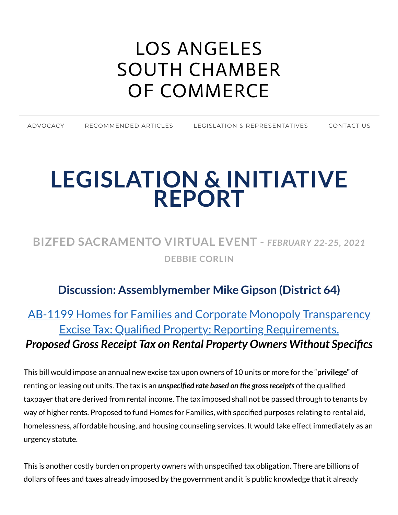# LOS ANGELES SOUTH CHAMBER OF [COMMERCE](https://www.lascc.us/)

| ADVOCACY | RECOMMENDED ARTICLES | LEGISLATION & REPRESENTATIVES | CONTACT US |
|----------|----------------------|-------------------------------|------------|
|          |                      |                               |            |

# **LEGISLATION & INITIATIVE REPORT**

# **BIZFED SACRAMENTO VIRTUAL EVENT -** *FEBRUARY 22-25, 2021* **DEBBIE CORLIN**

#### **Discussion: Assemblymember Mike Gipson (District 64)**

# AB-1199 Homes for [Families and Corporate](https://leginfo.legislature.ca.gov/faces/billNavClient.xhtml?bill_id=202120220AB1199) Monopoly Transparency Excise Tax: Qualified Property: Reporting Requirements. *Proposed Gross Receipt Tax on Rental Property Owners Without Specifics*

This bill would impose an annual new excise tax upon owners of 10 units or more for the "**privilege"** of renting or leasing out units. The tax is an *unspecified rate based on the gross receipts* of the qualified taxpayer that are derived from rental income. The tax imposed shall not be passed through to tenants by way of higher rents. Proposed to fund Homes for Families, with specified purposes relating to rental aid, homelessness, affordable housing, and housing counseling services. It would take effect immediately as an urgency statute.

This is another costly burden on property owners with unspecified tax obligation. There are billions of dollars of fees and taxes already imposed by the government and it is public knowledge that it already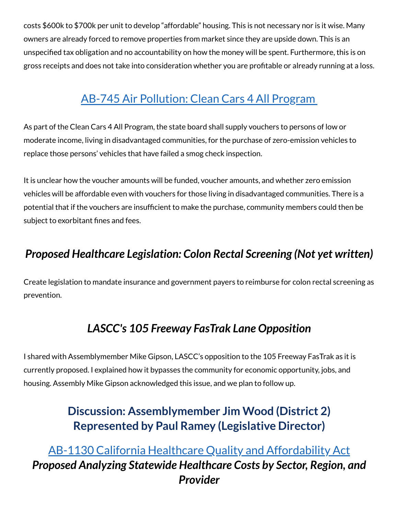costs \$600k to \$700k per unit to develop "affordable" housing. This is not necessary nor is it wise. Many owners are already forced to remove properties from market since they are upside down. This is an unspecified tax obligation and no accountability on how the money will be spent. Furthermore, this is on gross receipts and does not take into consideration whether you are profitable or already running at a loss.

# AB-745 Air [Pollution:](https://leginfo.legislature.ca.gov/faces/billTextClient.xhtml?bill_id=202120220AB745) Clean Cars 4 All Program

As part of the Clean Cars 4 All Program, the state board shall supply vouchers to persons of low or moderate income, living in disadvantaged communities, for the purchase of zero-emission vehicles to replace those persons' vehicles that have failed a smog check inspection.

It is unclear how the voucher amounts will be funded, voucher amounts, and whether zero emission vehicles will be affordable even with vouchers for those living in disadvantaged communities. There is a potential that if the vouchers are insufficient to make the purchase, community members could then be subject to exorbitant fines and fees.

#### *Proposed Healthcare Legislation: Colon Rectal Screening (Not yet written)*

Create legislation to mandate insurance and government payers to reimburse for colon rectal screening as prevention.

#### *LASCC's 105 Freeway FasTrak Lane Opposition*

I shared with Assemblymember Mike Gipson, LASCC's opposition to the 105 Freeway FasTrak as it is currently proposed. I explained how it bypasses the community for economic opportunity, jobs, and housing. Assembly Mike Gipson acknowledged this issue, and we plan to follow up.

#### **Discussion: Assemblymember Jim Wood (District 2) Represented by Paul Ramey (Legislative Director)**

AB-1130 California Healthcare Quality and [Affordability](https://leginfo.legislature.ca.gov/faces/billNavClient.xhtml?bill_id=202120220AB1130) Act *Proposed Analyzing Statewide Healthcare Costs by Sector, Region, and Provider*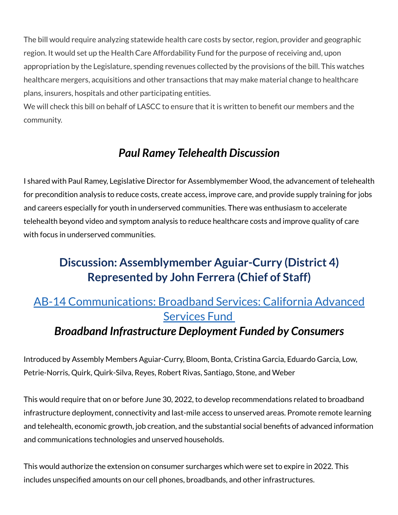The bill would require analyzing statewide health care costs by sector, region, provider and geographic region. It would set up the Health Care Affordability Fund for the purpose of receiving and, upon appropriation by the Legislature, spending revenues collected by the provisions of the bill. This watches healthcare mergers, acquisitions and other transactions that may make material change to healthcare plans, insurers, hospitals and other participating entities.

We will check this bill on behalf of LASCC to ensure that it is written to benefit our members and the community.

### *Paul Ramey Telehealth Discussion*

I shared with Paul Ramey, Legislative Director for Assemblymember Wood, the advancement of telehealth for precondition analysis to reduce costs, create access, improve care, and provide supply training for jobs and careers especially for youth in underserved communities. There was enthusiasm to accelerate telehealth beyond video and symptom analysis to reduce healthcare costs and improve quality of care with focus in underserved communities.

# **Discussion: Assemblymember Aguiar-Curry (District 4) Represented by John Ferrera (Chief of Staff)**

### AB-14 [Communications:](https://leginfo.legislature.ca.gov/faces/billNavClient.xhtml?bill_id=202120220AB14) Broadband Services: California Advanced Services Fund

#### *Broadband Infrastructure Deployment Funded by Consumers*

Introduced by Assembly Members Aguiar-Curry, Bloom, Bonta, Cristina Garcia, Eduardo Garcia, Low, Petrie-Norris, Quirk, Quirk-Silva, Reyes, Robert Rivas, Santiago, Stone, and Weber

This would require that on or before June 30, 2022, to develop recommendations related to broadband infrastructure deployment, connectivity and last-mile access to unserved areas. Promote remote learning and telehealth, economic growth, job creation, and the substantial social benefits of advanced information and communications technologies and unserved households.

This would authorize the extension on consumer surcharges which were set to expire in 2022. This includes unspecified amounts on our cell phones, broadbands, and other infrastructures.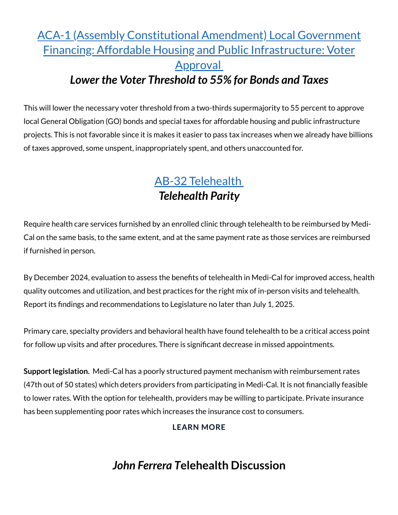#### ACA-1 (Assembly Constitutional Amendment) Local Government Financing: Affordable Housing and Public [Infrastructure:](https://leginfo.legislature.ca.gov/faces/billTextClient.xhtml?bill_id=202120220ACA1) Voter **Approval** *Lower the Voter Threshold to 55% for Bonds and Taxes*

This will lower the necessary voter threshold from a two-thirds supermajority to 55 percent to approve local General Obligation (GO) bonds and special taxes for affordable housing and public infrastructure projects. This is not favorable since it is makes it easier to pass tax increases when we already have billions of taxes approved, some unspent, inappropriately spent, and others unaccounted for.

# AB-32 [Telehealth](https://leginfo.legislature.ca.gov/faces/billTextClient.xhtml?bill_id=202120220AB32#:~:text=Existing%20law%20requires%20a%20contract,enrollee%2C%20subscriber%2C%20insured%2C%20or) *Telehealth Parity*

Require health care services furnished by an enrolled clinic through telehealth to be reimbursed by Medi-Cal on the same basis, to the same extent, and at the same payment rate as those services are reimbursed if furnished in person.

By December 2024, evaluation to assess the benefits of telehealth in Medi-Cal for improved access, health quality outcomes and utilization, and best practices for the right mix of in-person visits and telehealth. Report its findings and recommendations to Legislature no later than July 1, 2025.

Primary care, specialty providers and behavioral health have found telehealth to be a critical access point for follow up visits and after procedures. There is significant decrease in missed appointments.

**Support legislation.** Medi-Cal has a poorly structured payment mechanism with reimbursement rates (47th out of 50 states) which deters providers from participating in Medi-Cal. It is not financially feasible to lower rates. With the option for telehealth, providers may be willing to participate. Private insurance has been supplementing poor rates which increases the insurance cost to consumers.

#### **[LEARN](https://www.lascc.us/ab-32-telehealth.html) MORE**

#### **John Ferrera Telehealth Discussion**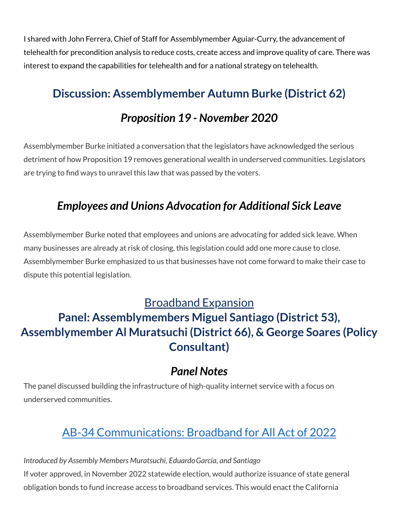I shared with John Ferrera, Chief of Staff for Assemblymember Aguiar-Curry, the advancement of telehealth for precondition analysis to reduce costs, create access and improve quality of care. There was interest to expand the capabilities for telehealth and for a national strategy on telehealth.

### **Discussion: Assemblymember Autumn Burke (District 62)**

#### *Proposition 19 - November 2020*

Assemblymember Burke initiated a conversation that the legislators have acknowledged the serious detriment of how Proposition 19 removes generational wealth in underserved communities. Legislators are trying to find ways to unravel this law that was passed by the voters.

### *Employees and Unions Advocation for Additional Sick Leave*

Assemblymember Burke noted that employees and unions are advocating for added sick leave. When many businesses are already at risk of closing, this legislation could add one more cause to close. Assemblymember Burke emphasized to us that businesses have not come forward to make their case to dispute this potential legislation.

#### Broadband Expansion

# **Panel: Assemblymembers Miguel Santiago (District 53), Assemblymember Al Muratsuchi (District 66), & George Soares (Policy Consultant)**

#### *Panel Notes*

The panel discussed building the infrastructure of high-quality internet service with a focus on underserved communities.

# AB-34 [Communications:](https://leginfo.legislature.ca.gov/faces/billTextClient.xhtml?bill_id=202120220AB34) Broadband for All Act of 2022

If voter approved, in November 2022 statewide election, would authorize issuance of state general obligation bonds to fund increase access to broadband services. This would enact the California *Introduced by Assembly Members Muratsuchi, EduardoGarcia, and Santiago*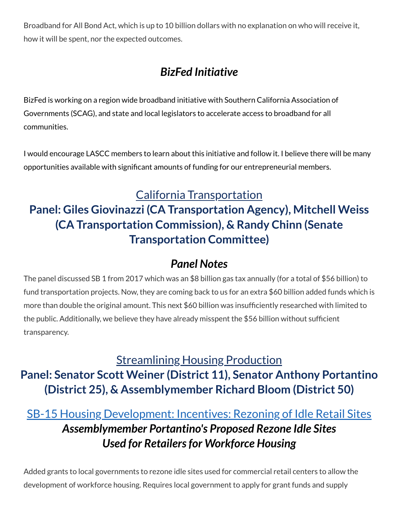Broadband for All Bond Act, which is up to 10 billion dollars with no explanation on who will receive it, how it will be spent, nor the expected outcomes.

# *BizFed Initiative*

BizFed is working on a region wide broadband initiative with Southern California Association of Governments (SCAG), and state and local legislators to accelerate access to broadband for all communities.

I would encourage LASCC members to learn about this initiative and follow it. I believe there will be many opportunities available with significant amounts of funding for our entrepreneurial members.

#### California Transportation

# **Panel: Giles Giovinazzi (CA Transportation Agency), Mitchell Weiss (CA Transportation Commission), & Randy Chinn (Senate Transportation Committee)**

#### *Panel Notes*

The panel discussed SB 1 from 2017 which was an \$8 billion gas tax annually (for a total of \$56 billion) to fund transportation projects. Now, they are coming back to us for an extra \$60 billion added funds which is more than double the original amount. This next \$60 billion was insufficiently researched with limited to the public. Additionally, we believe they have already misspent the \$56 billion without sufficient transparency.

# Streamlining Housing Production **Panel: Senator Scott Weiner (District 11), Senator Anthony Portantino (District 25), & Assemblymember Richard Bloom (District 50)**

# SB-15 Housing [Development:](https://leginfo.legislature.ca.gov/faces/billNavClient.xhtml?bill_id=202120220SB15) Incentives: Rezoning of Idle Retail Sites *Assemblymember Portantino's Proposed Rezone Idle Sites Used for Retailersfor Workforce Housing*

Added grants to local governments to rezone idle sites used for commercial retail centers to allow the development of workforce housing. Requires local government to apply for grant funds and supply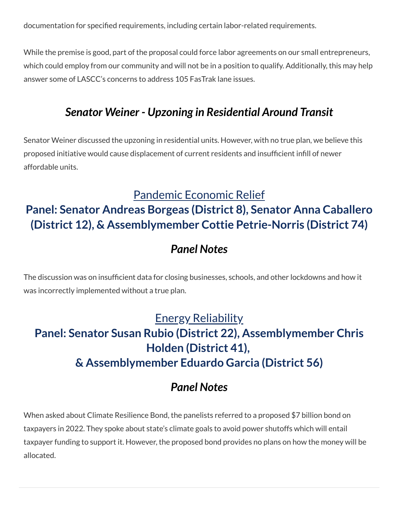documentation for specified requirements, including certain labor-related requirements.

While the premise is good, part of the proposal could force labor agreements on our small entrepreneurs, which could employ from our community and will not be in a position to qualify. Additionally, this may help answer some of LASCC's concerns to address 105 FasTrak lane issues.

#### *Senator Weiner - Upzoning in Residential Around Transit*

Senator Weiner discussed the upzoning in residential units. However, with no true plan, we believe this proposed initiative would cause displacement of current residents and insufficient infill of newer affordable units.

#### Pandemic Economic Relief

#### **Panel: Senator Andreas Borgeas (District 8), Senator Anna Caballero (District 12), & Assemblymember Cottie Petrie-Norris (District 74)**

#### *Panel Notes*

The discussion was on insufficient data for closing businesses, schools, and other lockdowns and how it was incorrectly implemented without a true plan.

# Energy Reliability **Panel: Senator Susan Rubio (District 22), Assemblymember Chris Holden (District 41), & Assemblymember Eduardo Garcia (District 56)**

#### *Panel Notes*

When asked about Climate Resilience Bond, the panelists referred to a proposed \$7 billion bond on taxpayers in 2022. They spoke about state's climate goals to avoid power shutoffs which will entail taxpayer funding to support it. However, the proposed bond provides no plans on how the money will be allocated.